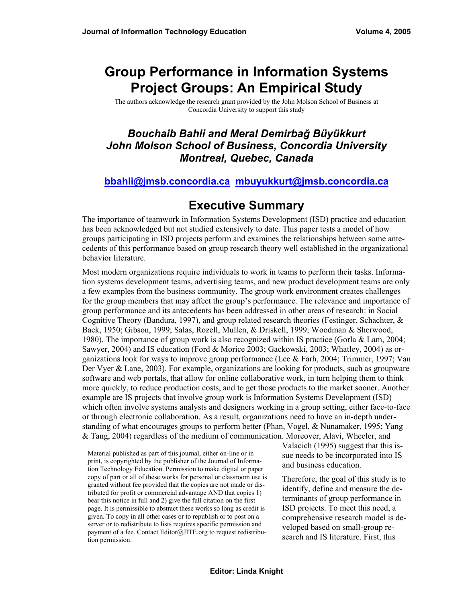# **Group Performance in Information Systems Project Groups: An Empirical Study**

The authors acknowledge the research grant provided by the John Molson School of Business at Concordia University to support this study

### *Bouchaib Bahli and Meral Demirbağ Büyükkurt John Molson School of Business, Concordia University Montreal, Quebec, Canada*

#### **[bbahli@jmsb.concordia.ca](mailto:bbahli@jmsb.concordia.ca) [mbuyukkurt@jmsb.concordia.ca](mailto:mbuyukkurt@jmsb.concordia.ca)**

## **Executive Summary**

The importance of teamwork in Information Systems Development (ISD) practice and education has been acknowledged but not studied extensively to date. This paper tests a model of how groups participating in ISD projects perform and examines the relationships between some antecedents of this performance based on group research theory well established in the organizational behavior literature.

Most modern organizations require individuals to work in teams to perform their tasks. Information systems development teams, advertising teams, and new product development teams are only a few examples from the business community. The group work environment creates challenges for the group members that may affect the group's performance. The relevance and importance of group performance and its antecedents has been addressed in other areas of research: in Social Cognitive Theory (Bandura, 1997), and group related research theories (Festinger, Schachter,  $\&$ Back, 1950; Gibson, 1999; Salas, Rozell, Mullen, & Driskell, 1999; Woodman & Sherwood, 1980). The importance of group work is also recognized within IS practice (Gorla & Lam, 2004; Sawyer, 2004) and IS education (Ford & Morice 2003; Gackowski, 2003; Whatley, 2004) as organizations look for ways to improve group performance (Lee & Farh, 2004; Trimmer, 1997; Van Der Vyer & Lane, 2003). For example, organizations are looking for products, such as groupware software and web portals, that allow for online collaborative work, in turn helping them to think more quickly, to reduce production costs, and to get those products to the market sooner. Another example are IS projects that involve group work is Information Systems Development (ISD) which often involve systems analysts and designers working in a group setting, either face-to-face or through electronic collaboration. As a result, organizations need to have an in-depth understanding of what encourages groups to perform better (Phan, Vogel, & Nunamaker, 1995; Yang & Tang, 2004) regardless of the medium of communication. Moreover, Alavi, Wheeler, and

Material published as part of this journal, either on-line or in print, is copyrighted by the publisher of the Journal of Information Technology Education. Permission to make digital or paper copy of part or all of these works for personal or classroom use is granted without fee provided that the copies are not made or distributed for profit or commercial advantage AND that copies 1) bear this notice in full and 2) give the full citation on the first page. It is permissible to abstract these works so long as credit is given. To copy in all other cases or to republish or to post on a server or to redistribute to lists requires specific permission and payment of a fee. Contact Editor@JITE.org to request redistribution permission.

Valacich (1995) suggest that this issue needs to be incorporated into IS and business education.

Therefore, the goal of this study is to identify, define and measure the determinants of group performance in ISD projects. To meet this need, a comprehensive research model is developed based on small-group research and IS literature. First, this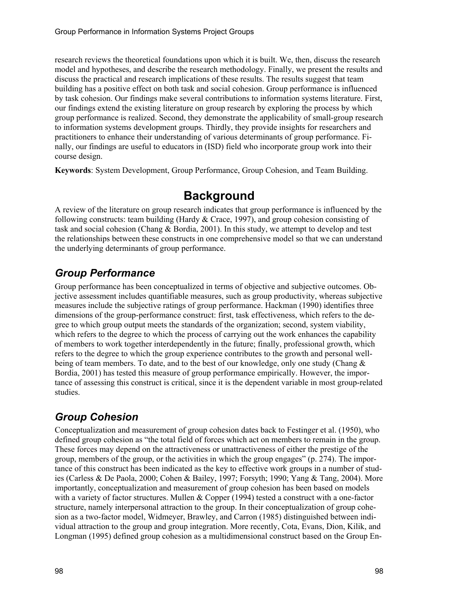research reviews the theoretical foundations upon which it is built. We, then, discuss the research model and hypotheses, and describe the research methodology. Finally, we present the results and discuss the practical and research implications of these results. The results suggest that team building has a positive effect on both task and social cohesion. Group performance is influenced by task cohesion. Our findings make several contributions to information systems literature. First, our findings extend the existing literature on group research by exploring the process by which group performance is realized. Second, they demonstrate the applicability of small-group research to information systems development groups. Thirdly, they provide insights for researchers and practitioners to enhance their understanding of various determinants of group performance. Finally, our findings are useful to educators in (ISD) field who incorporate group work into their course design.

**Keywords**: System Development, Group Performance, Group Cohesion, and Team Building.

## **Background**

A review of the literature on group research indicates that group performance is influenced by the following constructs: team building (Hardy & Crace, 1997), and group cohesion consisting of task and social cohesion (Chang & Bordia, 2001). In this study, we attempt to develop and test the relationships between these constructs in one comprehensive model so that we can understand the underlying determinants of group performance.

## *Group Performance*

Group performance has been conceptualized in terms of objective and subjective outcomes. Objective assessment includes quantifiable measures, such as group productivity, whereas subjective measures include the subjective ratings of group performance. Hackman (1990) identifies three dimensions of the group-performance construct: first, task effectiveness, which refers to the degree to which group output meets the standards of the organization; second, system viability, which refers to the degree to which the process of carrying out the work enhances the capability of members to work together interdependently in the future; finally, professional growth, which refers to the degree to which the group experience contributes to the growth and personal wellbeing of team members. To date, and to the best of our knowledge, only one study (Chang & Bordia, 2001) has tested this measure of group performance empirically. However, the importance of assessing this construct is critical, since it is the dependent variable in most group-related studies.

## *Group Cohesion*

Conceptualization and measurement of group cohesion dates back to Festinger et al. (1950), who defined group cohesion as "the total field of forces which act on members to remain in the group. These forces may depend on the attractiveness or unattractiveness of either the prestige of the group, members of the group, or the activities in which the group engages" (p. 274). The importance of this construct has been indicated as the key to effective work groups in a number of studies (Carless & De Paola, 2000; Cohen & Bailey, 1997; Forsyth; 1990; Yang & Tang, 2004). More importantly, conceptualization and measurement of group cohesion has been based on models with a variety of factor structures. Mullen & Copper (1994) tested a construct with a one-factor structure, namely interpersonal attraction to the group. In their conceptualization of group cohesion as a two-factor model, Widmeyer, Brawley, and Carron (1985) distinguished between individual attraction to the group and group integration. More recently, Cota, Evans, Dion, Kilik, and Longman (1995) defined group cohesion as a multidimensional construct based on the Group En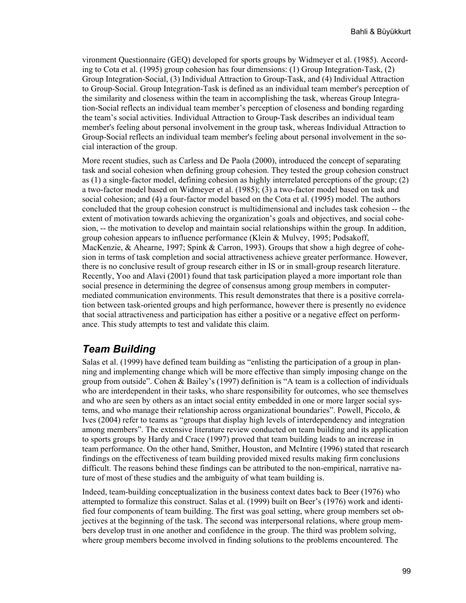vironment Questionnaire (GEQ) developed for sports groups by Widmeyer et al. (1985). According to Cota et al. (1995) group cohesion has four dimensions: (1) Group Integration-Task, (2) Group Integration-Social, (3) Individual Attraction to Group-Task, and (4) Individual Attraction to Group-Social. Group Integration-Task is defined as an individual team member's perception of the similarity and closeness within the team in accomplishing the task, whereas Group Integration-Social reflects an individual team member's perception of closeness and bonding regarding the team's social activities. Individual Attraction to Group-Task describes an individual team member's feeling about personal involvement in the group task, whereas Individual Attraction to Group-Social reflects an individual team member's feeling about personal involvement in the social interaction of the group.

More recent studies, such as Carless and De Paola (2000), introduced the concept of separating task and social cohesion when defining group cohesion. They tested the group cohesion construct as (1) a single-factor model, defining cohesion as highly interrelated perceptions of the group; (2) a two-factor model based on Widmeyer et al. (1985); (3) a two-factor model based on task and social cohesion; and (4) a four-factor model based on the Cota et al. (1995) model. The authors concluded that the group cohesion construct is multidimensional and includes task cohesion -- the extent of motivation towards achieving the organization's goals and objectives, and social cohesion, -- the motivation to develop and maintain social relationships within the group. In addition, group cohesion appears to influence performance (Klein & Mulvey, 1995; Podsakoff, MacKenzie, & Ahearne, 1997; Spink & Carron, 1993). Groups that show a high degree of cohesion in terms of task completion and social attractiveness achieve greater performance. However, there is no conclusive result of group research either in IS or in small-group research literature. Recently, Yoo and Alavi (2001) found that task participation played a more important role than social presence in determining the degree of consensus among group members in computermediated communication environments. This result demonstrates that there is a positive correlation between task-oriented groups and high performance, however there is presently no evidence that social attractiveness and participation has either a positive or a negative effect on performance. This study attempts to test and validate this claim.

### *Team Building*

Salas et al. (1999) have defined team building as "enlisting the participation of a group in planning and implementing change which will be more effective than simply imposing change on the group from outside". Cohen & Bailey's (1997) definition is "A team is a collection of individuals who are interdependent in their tasks, who share responsibility for outcomes, who see themselves and who are seen by others as an intact social entity embedded in one or more larger social systems, and who manage their relationship across organizational boundaries". Powell, Piccolo, & Ives (2004) refer to teams as "groups that display high levels of interdependency and integration among members". The extensive literature review conducted on team building and its application to sports groups by Hardy and Crace (1997) proved that team building leads to an increase in team performance. On the other hand, Smither, Houston, and McIntire (1996) stated that research findings on the effectiveness of team building provided mixed results making firm conclusions difficult. The reasons behind these findings can be attributed to the non-empirical, narrative nature of most of these studies and the ambiguity of what team building is.

Indeed, team-building conceptualization in the business context dates back to Beer (1976) who attempted to formalize this construct. Salas et al. (1999) built on Beer's (1976) work and identified four components of team building. The first was goal setting, where group members set objectives at the beginning of the task. The second was interpersonal relations, where group members develop trust in one another and confidence in the group. The third was problem solving, where group members become involved in finding solutions to the problems encountered. The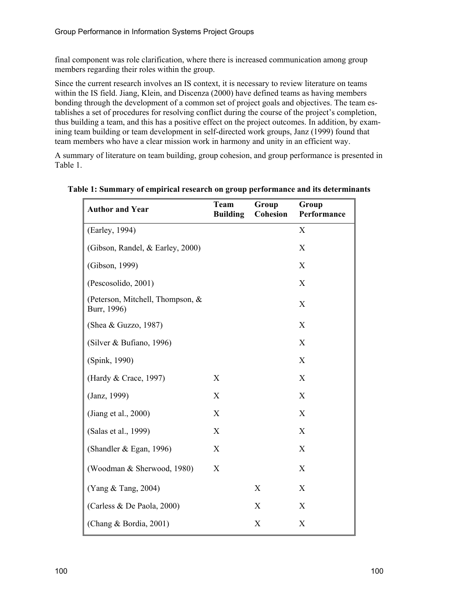final component was role clarification, where there is increased communication among group members regarding their roles within the group.

Since the current research involves an IS context, it is necessary to review literature on teams within the IS field. Jiang, Klein, and Discenza (2000) have defined teams as having members bonding through the development of a common set of project goals and objectives. The team establishes a set of procedures for resolving conflict during the course of the project's completion, thus building a team, and this has a positive effect on the project outcomes. In addition, by examining team building or team development in self-directed work groups, Janz (1999) found that team members who have a clear mission work in harmony and unity in an efficient way.

A summary of literature on team building, group cohesion, and group performance is presented in Table 1.

| <b>Author and Year</b>                          | <b>Team</b><br><b>Building</b> | Group<br><b>Cohesion</b> | Group<br>Performance |
|-------------------------------------------------|--------------------------------|--------------------------|----------------------|
| (Earley, 1994)                                  |                                |                          | X                    |
| (Gibson, Randel, & Earley, 2000)                |                                |                          | X                    |
| (Gibson, 1999)                                  |                                |                          | X                    |
| (Pescosolido, 2001)                             |                                |                          | X                    |
| (Peterson, Mitchell, Thompson, &<br>Burr, 1996) |                                |                          | $\boldsymbol{X}$     |
| (Shea & Guzzo, 1987)                            |                                |                          | X                    |
| (Silver & Bufiano, 1996)                        |                                |                          | $\boldsymbol{X}$     |
| (Spink, 1990)                                   |                                |                          | X                    |
| (Hardy & Crace, 1997)                           | X                              |                          | $\boldsymbol{X}$     |
| (Janz, 1999)                                    | X                              |                          | X                    |
| (Jiang et al., 2000)                            | X                              |                          | X                    |
| (Salas et al., 1999)                            | X                              |                          | $\boldsymbol{X}$     |
| (Shandler & Egan, 1996)                         | X                              |                          | X                    |
| (Woodman & Sherwood, 1980)                      | $\boldsymbol{X}$               |                          | X                    |
| (Yang & Tang, 2004)                             |                                | X                        | X                    |
| (Carless & De Paola, 2000)                      |                                | X                        | X                    |
| (Chang & Bordia, 2001)                          |                                | X                        | X                    |

**Table 1: Summary of empirical research on group performance and its determinants**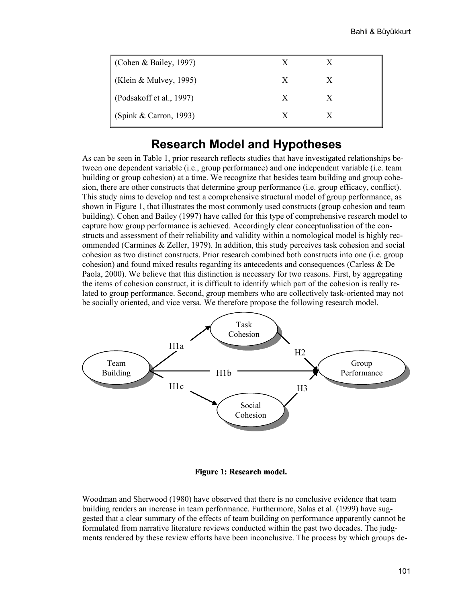| Cohen & Bailey, 1997)    | X |   |
|--------------------------|---|---|
| (Klein & Mulvey, 1995)   | X | X |
| (Podsakoff et al., 1997) | X | X |
| (Spink & Carron, 1993)   | X |   |

### **Research Model and Hypotheses**

As can be seen in Table 1, prior research reflects studies that have investigated relationships between one dependent variable (i.e., group performance) and one independent variable (i.e. team building or group cohesion) at a time. We recognize that besides team building and group cohesion, there are other constructs that determine group performance (i.e. group efficacy, conflict). This study aims to develop and test a comprehensive structural model of group performance, as shown in Figure 1, that illustrates the most commonly used constructs (group cohesion and team building). Cohen and Bailey (1997) have called for this type of comprehensive research model to capture how group performance is achieved. Accordingly clear conceptualisation of the constructs and assessment of their reliability and validity within a nomological model is highly recommended (Carmines & Zeller, 1979). In addition, this study perceives task cohesion and social cohesion as two distinct constructs. Prior research combined both constructs into one (i.e. group cohesion) and found mixed results regarding its antecedents and consequences (Carless & De Paola, 2000). We believe that this distinction is necessary for two reasons. First, by aggregating the items of cohesion construct, it is difficult to identify which part of the cohesion is really related to group performance. Second, group members who are collectively task-oriented may not be socially oriented, and vice versa. We therefore propose the following research model.



**Figure 1: Research model.**

Woodman and Sherwood (1980) have observed that there is no conclusive evidence that team building renders an increase in team performance. Furthermore, Salas et al. (1999) have suggested that a clear summary of the effects of team building on performance apparently cannot be formulated from narrative literature reviews conducted within the past two decades. The judgments rendered by these review efforts have been inconclusive. The process by which groups de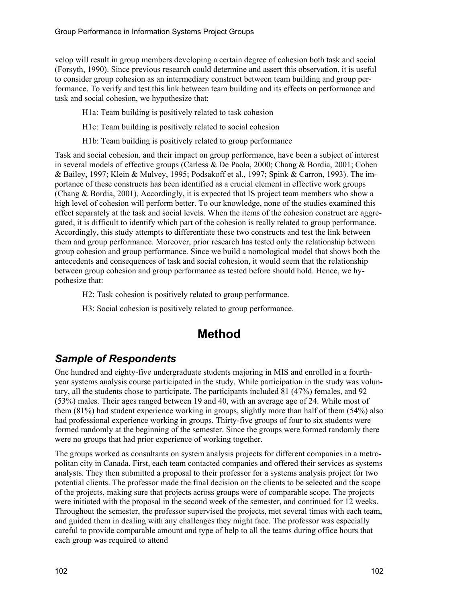velop will result in group members developing a certain degree of cohesion both task and social (Forsyth, 1990). Since previous research could determine and assert this observation, it is useful to consider group cohesion as an intermediary construct between team building and group performance. To verify and test this link between team building and its effects on performance and task and social cohesion, we hypothesize that:

H1a: Team building is positively related to task cohesion

- H1c: Team building is positively related to social cohesion
- H1b: Team building is positively related to group performance

Task and social cohesion*,* and their impact on group performance, have been a subject of interest in several models of effective groups (Carless & De Paola, 2000; Chang & Bordia, 2001; Cohen & Bailey, 1997; Klein & Mulvey, 1995; Podsakoff et al., 1997; Spink & Carron, 1993). The importance of these constructs has been identified as a crucial element in effective work groups (Chang & Bordia, 2001). Accordingly, it is expected that IS project team members who show a high level of cohesion will perform better. To our knowledge, none of the studies examined this effect separately at the task and social levels. When the items of the cohesion construct are aggregated, it is difficult to identify which part of the cohesion is really related to group performance. Accordingly, this study attempts to differentiate these two constructs and test the link between them and group performance. Moreover, prior research has tested only the relationship between group cohesion and group performance. Since we build a nomological model that shows both the antecedents and consequences of task and social cohesion, it would seem that the relationship between group cohesion and group performance as tested before should hold. Hence, we hypothesize that:

H2: Task cohesion is positively related to group performance.

H3: Social cohesion is positively related to group performance.

## **Method**

## *Sample of Respondents*

One hundred and eighty-five undergraduate students majoring in MIS and enrolled in a fourthyear systems analysis course participated in the study. While participation in the study was voluntary, all the students chose to participate. The participants included 81 (47%) females, and 92 (53%) males. Their ages ranged between 19 and 40, with an average age of 24. While most of them (81%) had student experience working in groups, slightly more than half of them (54%) also had professional experience working in groups. Thirty-five groups of four to six students were formed randomly at the beginning of the semester. Since the groups were formed randomly there were no groups that had prior experience of working together.

The groups worked as consultants on system analysis projects for different companies in a metropolitan city in Canada. First, each team contacted companies and offered their services as systems analysts. They then submitted a proposal to their professor for a systems analysis project for two potential clients. The professor made the final decision on the clients to be selected and the scope of the projects, making sure that projects across groups were of comparable scope. The projects were initiated with the proposal in the second week of the semester, and continued for 12 weeks. Throughout the semester, the professor supervised the projects, met several times with each team, and guided them in dealing with any challenges they might face. The professor was especially careful to provide comparable amount and type of help to all the teams during office hours that each group was required to attend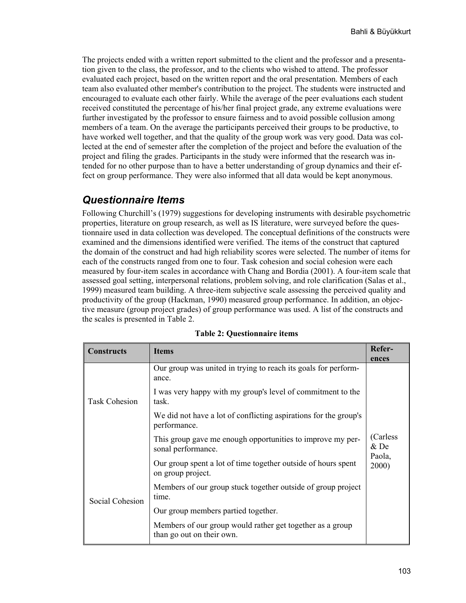The projects ended with a written report submitted to the client and the professor and a presentation given to the class, the professor, and to the clients who wished to attend. The professor evaluated each project, based on the written report and the oral presentation. Members of each team also evaluated other member's contribution to the project. The students were instructed and encouraged to evaluate each other fairly. While the average of the peer evaluations each student received constituted the percentage of his/her final project grade, any extreme evaluations were further investigated by the professor to ensure fairness and to avoid possible collusion among members of a team. On the average the participants perceived their groups to be productive, to have worked well together, and that the quality of the group work was very good. Data was collected at the end of semester after the completion of the project and before the evaluation of the project and filing the grades. Participants in the study were informed that the research was intended for no other purpose than to have a better understanding of group dynamics and their effect on group performance. They were also informed that all data would be kept anonymous.

### *Questionnaire Items*

Following Churchill's (1979) suggestions for developing instruments with desirable psychometric properties, literature on group research, as well as IS literature, were surveyed before the questionnaire used in data collection was developed. The conceptual definitions of the constructs were examined and the dimensions identified were verified. The items of the construct that captured the domain of the construct and had high reliability scores were selected. The number of items for each of the constructs ranged from one to four. Task cohesion and social cohesion were each measured by four-item scales in accordance with Chang and Bordia (2001). A four-item scale that assessed goal setting, interpersonal relations, problem solving, and role clarification (Salas et al., 1999) measured team building. A three-item subjective scale assessing the perceived quality and productivity of the group (Hackman, 1990) measured group performance. In addition, an objective measure (group project grades) of group performance was used. A list of the constructs and the scales is presented in Table 2.

| <b>Constructs</b>                                                                | <b>Items</b>                                                                           | Refer-<br>ences |  |  |
|----------------------------------------------------------------------------------|----------------------------------------------------------------------------------------|-----------------|--|--|
|                                                                                  | Our group was united in trying to reach its goals for perform-<br>ance.                |                 |  |  |
| <b>Task Cohesion</b>                                                             | I was very happy with my group's level of commitment to the<br>task.                   |                 |  |  |
|                                                                                  | We did not have a lot of conflicting aspirations for the group's<br>performance.       |                 |  |  |
| This group gave me enough opportunities to improve my per-<br>sonal performance. |                                                                                        |                 |  |  |
|                                                                                  | Our group spent a lot of time together outside of hours spent<br>on group project.     | Paola,<br>2000) |  |  |
| Social Cohesion                                                                  | Members of our group stuck together outside of group project<br>time.                  |                 |  |  |
|                                                                                  | Our group members partied together.                                                    |                 |  |  |
|                                                                                  | Members of our group would rather get together as a group<br>than go out on their own. |                 |  |  |

|  | <b>Table 2: Questionnaire items</b> |  |  |
|--|-------------------------------------|--|--|
|--|-------------------------------------|--|--|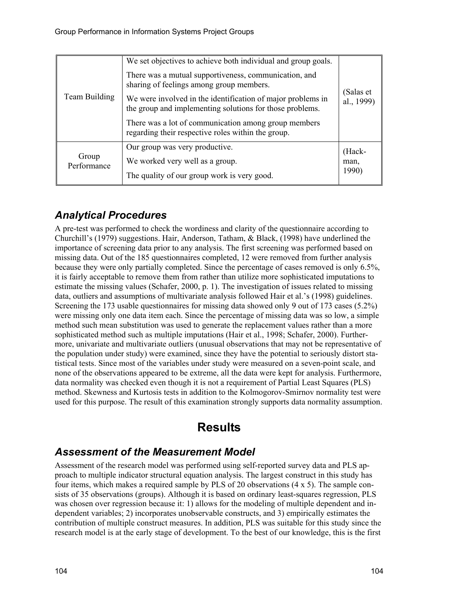| Team Building        | We set objectives to achieve both individual and group goals.                                                           |                         |  |  |
|----------------------|-------------------------------------------------------------------------------------------------------------------------|-------------------------|--|--|
|                      | There was a mutual supportiveness, communication, and<br>sharing of feelings among group members.                       | (Salas et<br>al., 1999) |  |  |
|                      | We were involved in the identification of major problems in<br>the group and implementing solutions for those problems. |                         |  |  |
|                      | There was a lot of communication among group members<br>regarding their respective roles within the group.              |                         |  |  |
|                      | Our group was very productive.                                                                                          | (Hack-                  |  |  |
| Group<br>Performance | We worked very well as a group.                                                                                         | man,                    |  |  |
|                      | The quality of our group work is very good.                                                                             | 1990)                   |  |  |

## *Analytical Procedures*

A pre-test was performed to check the wordiness and clarity of the questionnaire according to Churchill's (1979) suggestions. Hair, Anderson, Tatham, & Black, (1998) have underlined the importance of screening data prior to any analysis. The first screening was performed based on missing data. Out of the 185 questionnaires completed, 12 were removed from further analysis because they were only partially completed. Since the percentage of cases removed is only 6.5%, it is fairly acceptable to remove them from rather than utilize more sophisticated imputations to estimate the missing values (Schafer, 2000, p. 1). The investigation of issues related to missing data, outliers and assumptions of multivariate analysis followed Hair et al.'s (1998) guidelines. Screening the 173 usable questionnaires for missing data showed only 9 out of 173 cases (5.2%) were missing only one data item each. Since the percentage of missing data was so low, a simple method such mean substitution was used to generate the replacement values rather than a more sophisticated method such as multiple imputations (Hair et al., 1998; Schafer, 2000). Furthermore, univariate and multivariate outliers (unusual observations that may not be representative of the population under study) were examined, since they have the potential to seriously distort statistical tests. Since most of the variables under study were measured on a seven-point scale, and none of the observations appeared to be extreme, all the data were kept for analysis. Furthermore, data normality was checked even though it is not a requirement of Partial Least Squares (PLS) method. Skewness and Kurtosis tests in addition to the Kolmogorov-Smirnov normality test were used for this purpose. The result of this examination strongly supports data normality assumption.

## **Results**

## *Assessment of the Measurement Model*

Assessment of the research model was performed using self-reported survey data and PLS approach to multiple indicator structural equation analysis. The largest construct in this study has four items, which makes a required sample by PLS of 20 observations (4 x 5). The sample consists of 35 observations (groups). Although it is based on ordinary least-squares regression, PLS was chosen over regression because it: 1) allows for the modeling of multiple dependent and independent variables; 2) incorporates unobservable constructs, and 3) empirically estimates the contribution of multiple construct measures. In addition, PLS was suitable for this study since the research model is at the early stage of development. To the best of our knowledge, this is the first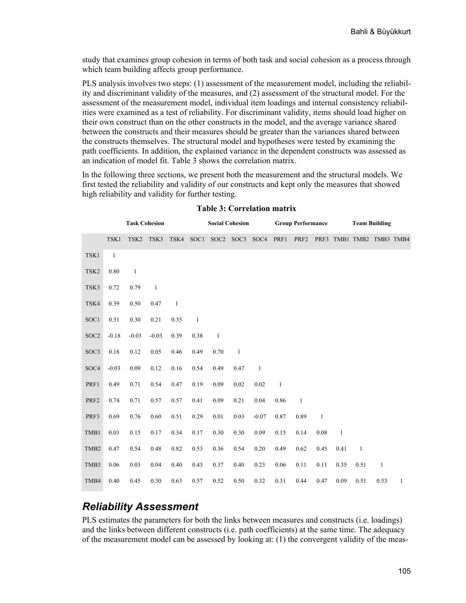study that examines group cohesion in terms of both task and social cohesion as a process through which team building affects group performance.

PLS analysis involves two steps: (1) assessment of the measurement model, including the reliability and discriminant validity of the measures, and (2) assessment of the structural model. For the assessment of the measurement model, individual item loadings and internal consistency reliabilities were examined as a test of reliability. For discriminant validity, items should load higher on their own construct than on the other constructs in the model, and the average variance shared between the constructs and their measures should be greater than the variances shared between the constructs themselves. The structural model and hypotheses were tested by examining the path coefficients. In addition, the explained variance in the dependent constructs was assessed as an indication of model fit. Table 3 shows the correlation matrix.

In the following three sections, we present both the measurement and the structural models. We first tested the reliability and validity of our constructs and kept only the measures that showed high reliability and validity for further testing.

|                  |              | <b>Task Cohesion</b> |              |              |              |              | <b>Social Cohesion</b>        |              |              | <b>Group Performance</b> |              |                |              | <b>Team Building</b>     |   |
|------------------|--------------|----------------------|--------------|--------------|--------------|--------------|-------------------------------|--------------|--------------|--------------------------|--------------|----------------|--------------|--------------------------|---|
|                  | TSK1         | TSK <sub>2</sub>     | TSK3         | TSK4         |              |              | SOC1 SOC2 SOC3 SOC4 PRF1 PRF2 |              |              |                          |              |                |              | PRF3 TMB1 TMB2 TMB3 TMB4 |   |
| TSK1             | $\mathbf{1}$ |                      |              |              |              |              |                               |              |              |                          |              |                |              |                          |   |
| TSK <sub>2</sub> | $0.80\,$     | $\mathbf{1}$         |              |              |              |              |                               |              |              |                          |              |                |              |                          |   |
| TSK3             | 0.72         | 0.79                 | $\mathbf{1}$ |              |              |              |                               |              |              |                          |              |                |              |                          |   |
| TSK4             | 0.39         | 0.50                 | 0.47         | $\mathbf{1}$ |              |              |                               |              |              |                          |              |                |              |                          |   |
| SOC1             | 0.31         | 0.30                 | 0.21         | 0.35         | $\mathbf{1}$ |              |                               |              |              |                          |              |                |              |                          |   |
| SOC <sub>2</sub> | $-0.18$      | $-0.03$              | $-0.03$      | 0.39         | 0.38         | $\mathbf{1}$ |                               |              |              |                          |              |                |              |                          |   |
| SOC3             | $0.18\,$     | 0.12                 | 0.05         | 0.46         | 0.49         | 0.70         | $\mathbf{1}$                  |              |              |                          |              |                |              |                          |   |
| SOC4             | $-0.03$      | 0.09                 | 0.12         | 0.16         | 0.54         | 0.49         | 0.47                          | $\mathbf{1}$ |              |                          |              |                |              |                          |   |
| PRF1             | 0.49         | 0.71                 | 0.54         | 0.47         | 0.19         | 0.09         | 0.02                          | 0.02         | $\mathbf{1}$ |                          |              |                |              |                          |   |
| PRF <sub>2</sub> | 0.74         | 0.71                 | 0.57         | 0.57         | 0.41         | 0.09         | 0.21                          | 0.04         | 0.86         | $\mathbf{1}$             |              |                |              |                          |   |
| PRF3             | 0.69         | 0.76                 | 0.60         | 0.51         | 0.29         | $0.01\,$     | 0.03                          | $-0.07$      | 0.87         | 0.89                     | $\mathbf{1}$ |                |              |                          |   |
| TMB1             | 0.03         | 0.15                 | 0.17         | 0.34         | 0.17         | 0.30         | 0.30                          | 0.09         | 0.15         | 0.14                     | 0.08         | $\overline{1}$ |              |                          |   |
| TMB <sub>2</sub> | 0.47         | 0.54                 | 0.48         | 0.82         | 0.53         | 0.36         | 0.54                          | 0.20         | 0.49         | 0.62                     | 0.45         | 0.41           | $\mathbf{1}$ |                          |   |
| TMB3             | $0.06\,$     | 0.03                 | $0.04\,$     | 0.40         | 0.43         | 0.37         | 0.40                          | 0.23         | $0.06\,$     | 0.11                     | 0.11         | 0.35           | 0.51         | $\mathbf{1}$             |   |
| TMB4             | 0.40         | 0.45                 | 0.30         | 0.63         | 0.57         | 0.52         | 0.50                          | 0.32         | 0.31         | 0.44                     | 0.47         | 0.09           | 0.51         | 0.53                     | 1 |

#### **Table 3: Correlation matrix**

### *Reliability Assessment*

PLS estimates the parameters for both the links between measures and constructs (i.e. loadings) and the links between different constructs (i.e. path coefficients) at the same time. The adequacy of the measurement model can be assessed by looking at: (1) the convergent validity of the meas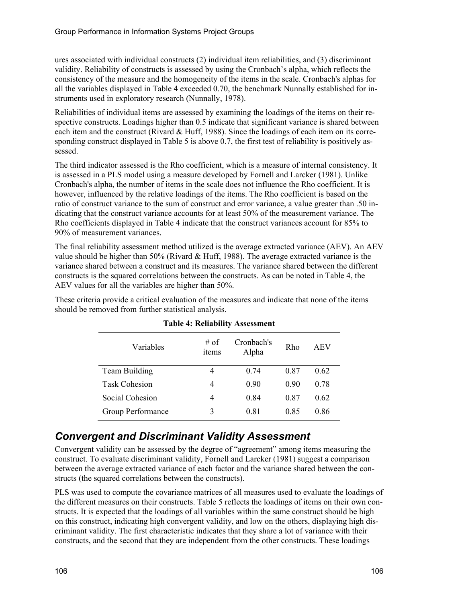ures associated with individual constructs (2) individual item reliabilities, and (3) discriminant validity. Reliability of constructs is assessed by using the Cronbach's alpha, which reflects the consistency of the measure and the homogeneity of the items in the scale. Cronbach's alphas for all the variables displayed in Table 4 exceeded 0.70, the benchmark Nunnally established for instruments used in exploratory research (Nunnally, 1978).

Reliabilities of individual items are assessed by examining the loadings of the items on their respective constructs. Loadings higher than 0.5 indicate that significant variance is shared between each item and the construct (Rivard & Huff, 1988). Since the loadings of each item on its corresponding construct displayed in Table 5 is above 0.7, the first test of reliability is positively assessed.

The third indicator assessed is the Rho coefficient, which is a measure of internal consistency. It is assessed in a PLS model using a measure developed by Fornell and Larcker (1981). Unlike Cronbach's alpha, the number of items in the scale does not influence the Rho coefficient. It is however, influenced by the relative loadings of the items. The Rho coefficient is based on the ratio of construct variance to the sum of construct and error variance, a value greater than .50 indicating that the construct variance accounts for at least 50% of the measurement variance. The Rho coefficients displayed in Table 4 indicate that the construct variances account for 85% to 90% of measurement variances.

The final reliability assessment method utilized is the average extracted variance (AEV). An AEV value should be higher than 50% (Rivard & Huff, 1988). The average extracted variance is the variance shared between a construct and its measures. The variance shared between the different constructs is the squared correlations between the constructs. As can be noted in Table 4, the AEV values for all the variables are higher than 50%.

These criteria provide a critical evaluation of the measures and indicate that none of the items should be removed from further statistical analysis.

| Variables            | # of<br>items | Cronbach's<br>Alpha | Rho  | <b>AEV</b> |
|----------------------|---------------|---------------------|------|------------|
| Team Building        | 4             | 0.74                | 0.87 | 0.62       |
| <b>Task Cohesion</b> | 4             | 0.90                | 0.90 | 0.78       |
| Social Cohesion      | 4             | 0.84                | 0.87 | 0.62       |
| Group Performance    | 3             | 0.81                | 0.85 | 0.86       |

**Table 4: Reliability Assessment** 

## *Convergent and Discriminant Validity Assessment*

Convergent validity can be assessed by the degree of "agreement" among items measuring the construct. To evaluate discriminant validity, Fornell and Larcker (1981) suggest a comparison between the average extracted variance of each factor and the variance shared between the constructs (the squared correlations between the constructs).

PLS was used to compute the covariance matrices of all measures used to evaluate the loadings of the different measures on their constructs. Table 5 reflects the loadings of items on their own constructs. It is expected that the loadings of all variables within the same construct should be high on this construct, indicating high convergent validity, and low on the others, displaying high discriminant validity. The first characteristic indicates that they share a lot of variance with their constructs, and the second that they are independent from the other constructs. These loadings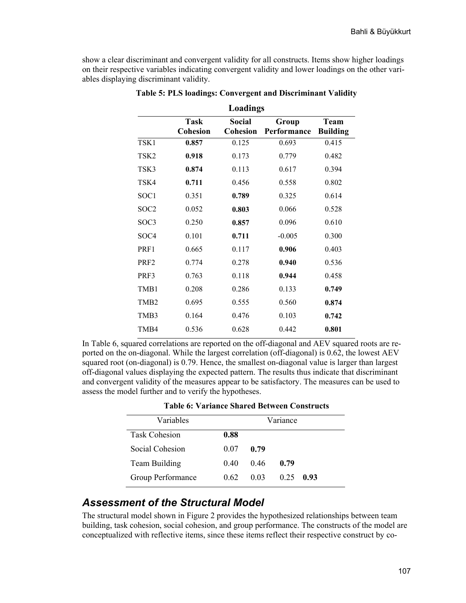show a clear discriminant and convergent validity for all constructs. Items show higher loadings on their respective variables indicating convergent validity and lower loadings on the other variables displaying discriminant validity.

| <b>Loadings</b>  |                         |                                  |                      |                                |  |  |  |
|------------------|-------------------------|----------------------------------|----------------------|--------------------------------|--|--|--|
|                  | Task<br><b>Cohesion</b> | <b>Social</b><br><b>Cohesion</b> | Group<br>Performance | <b>Team</b><br><b>Building</b> |  |  |  |
| TSK1             | 0.857                   | 0.125                            | 0.693                | 0.415                          |  |  |  |
| TSK2             | 0.918                   | 0.173                            | 0.779                | 0.482                          |  |  |  |
| TSK3             | 0.874                   | 0.113                            | 0.617                | 0.394                          |  |  |  |
| TSK4             | 0.711                   | 0.456                            | 0.558                | 0.802                          |  |  |  |
| SOC <sub>1</sub> | 0.351                   | 0.789                            | 0.325                | 0.614                          |  |  |  |
| SOC <sub>2</sub> | 0.052                   | 0.803                            | 0.066                | 0.528                          |  |  |  |
| SOC3             | 0.250                   | 0.857                            | 0.096                | 0.610                          |  |  |  |
| SOC <sub>4</sub> | 0.101                   | 0.711                            | $-0.005$             | 0.300                          |  |  |  |
| PRF1             | 0.665                   | 0.117                            | 0.906                | 0.403                          |  |  |  |
| PRF <sub>2</sub> | 0.774                   | 0.278                            | 0.940                | 0.536                          |  |  |  |
| PRF3             | 0.763                   | 0.118                            | 0.944                | 0.458                          |  |  |  |
| TMB1             | 0.208                   | 0.286                            | 0.133                | 0.749                          |  |  |  |
| TMB <sub>2</sub> | 0.695                   | 0.555                            | 0.560                | 0.874                          |  |  |  |
| TMB3             | 0.164                   | 0.476                            | 0.103                | 0.742                          |  |  |  |
| TMB4             | 0.536                   | 0.628                            | 0.442                | 0.801                          |  |  |  |

**Table 5: PLS loadings: Convergent and Discriminant Validity** 

In Table 6, squared correlations are reported on the off-diagonal and AEV squared roots are reported on the on-diagonal. While the largest correlation (off-diagonal) is 0.62, the lowest AEV squared root (on-diagonal) is 0.79. Hence, the smallest on-diagonal value is larger than largest off-diagonal values displaying the expected pattern. The results thus indicate that discriminant and convergent validity of the measures appear to be satisfactory. The measures can be used to assess the model further and to verify the hypotheses.

**Table 6: Variance Shared Between Constructs** 

| Variables            |      | Variance |      |             |
|----------------------|------|----------|------|-------------|
| <b>Task Cohesion</b> | 0.88 |          |      |             |
| Social Cohesion      | 0.07 | 0.79     |      |             |
| <b>Team Building</b> | 040  | 046      | 0.79 |             |
| Group Performance    | 0.62 | 0.03     |      | $0.25$ 0.93 |

#### *Assessment of the Structural Model*

The structural model shown in Figure 2 provides the hypothesized relationships between team building, task cohesion, social cohesion, and group performance. The constructs of the model are conceptualized with reflective items, since these items reflect their respective construct by co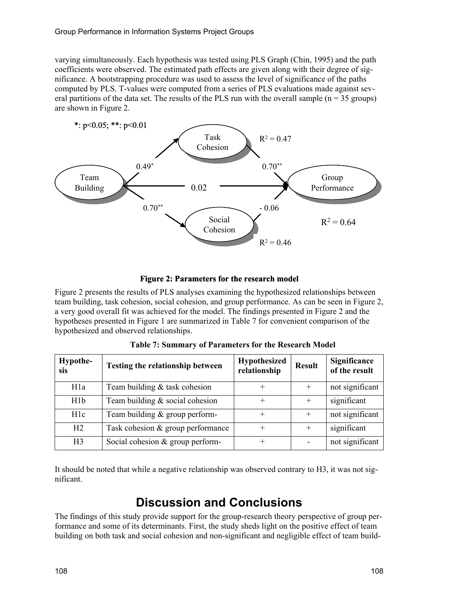varying simultaneously. Each hypothesis was tested using PLS Graph (Chin, 1995) and the path coefficients were observed. The estimated path effects are given along with their degree of significance. A bootstrapping procedure was used to assess the level of significance of the paths computed by PLS. T-values were computed from a series of PLS evaluations made against several partitions of the data set. The results of the PLS run with the overall sample  $(n = 35 \text{ groups})$ are shown in Figure 2.



#### **Figure 2: Parameters for the research model**

Figure 2 presents the results of PLS analyses examining the hypothesized relationships between team building, task cohesion, social cohesion, and group performance. As can be seen in Figure 2, a very good overall fit was achieved for the model. The findings presented in Figure 2 and the hypotheses presented in Figure 1 are summarized in Table 7 for convenient comparison of the hypothesized and observed relationships.

| Hypothe-<br>sis  | Testing the relationship between  | <b>Hypothesized</b><br>relationship | <b>Result</b> | Significance<br>of the result |
|------------------|-----------------------------------|-------------------------------------|---------------|-------------------------------|
| H <sub>1</sub> a | Team building & task cohesion     | $\div$                              | $^{+}$        | not significant               |
| H1b              | Team building $&$ social cohesion | $\pm$                               | $\pm$         | significant                   |
| H1c              | Team building $&$ group perform-  | $\pm$                               |               | not significant               |
| H <sub>2</sub>   | Task cohesion & group performance | $+$                                 | $^{+}$        | significant                   |
| H <sub>3</sub>   | Social cohesion & group perform-  | $^{+}$                              |               | not significant               |

**Table 7: Summary of Parameters for the Research Model** 

It should be noted that while a negative relationship was observed contrary to H3, it was not significant.

## **Discussion and Conclusions**

The findings of this study provide support for the group-research theory perspective of group performance and some of its determinants. First, the study sheds light on the positive effect of team building on both task and social cohesion and non-significant and negligible effect of team build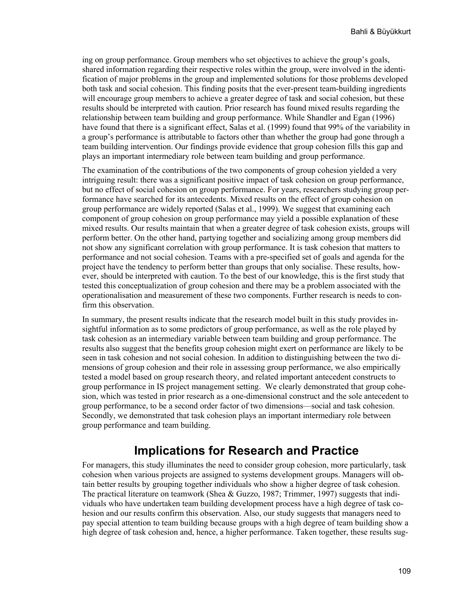ing on group performance. Group members who set objectives to achieve the group's goals, shared information regarding their respective roles within the group, were involved in the identification of major problems in the group and implemented solutions for those problems developed both task and social cohesion. This finding posits that the ever-present team-building ingredients will encourage group members to achieve a greater degree of task and social cohesion, but these results should be interpreted with caution. Prior research has found mixed results regarding the relationship between team building and group performance. While Shandler and Egan (1996) have found that there is a significant effect, Salas et al. (1999) found that 99% of the variability in a group's performance is attributable to factors other than whether the group had gone through a team building intervention. Our findings provide evidence that group cohesion fills this gap and plays an important intermediary role between team building and group performance.

The examination of the contributions of the two components of group cohesion yielded a very intriguing result: there was a significant positive impact of task cohesion on group performance, but no effect of social cohesion on group performance. For years, researchers studying group performance have searched for its antecedents. Mixed results on the effect of group cohesion on group performance are widely reported (Salas et al., 1999). We suggest that examining each component of group cohesion on group performance may yield a possible explanation of these mixed results. Our results maintain that when a greater degree of task cohesion exists, groups will perform better. On the other hand, partying together and socializing among group members did not show any significant correlation with group performance. It is task cohesion that matters to performance and not social cohesion. Teams with a pre-specified set of goals and agenda for the project have the tendency to perform better than groups that only socialise. These results, however, should be interpreted with caution. To the best of our knowledge, this is the first study that tested this conceptualization of group cohesion and there may be a problem associated with the operationalisation and measurement of these two components. Further research is needs to confirm this observation.

In summary, the present results indicate that the research model built in this study provides insightful information as to some predictors of group performance, as well as the role played by task cohesion as an intermediary variable between team building and group performance. The results also suggest that the benefits group cohesion might exert on performance are likely to be seen in task cohesion and not social cohesion. In addition to distinguishing between the two dimensions of group cohesion and their role in assessing group performance, we also empirically tested a model based on group research theory, and related important antecedent constructs to group performance in IS project management setting. We clearly demonstrated that group cohesion, which was tested in prior research as a one-dimensional construct and the sole antecedent to group performance, to be a second order factor of two dimensions—social and task cohesion. Secondly, we demonstrated that task cohesion plays an important intermediary role between group performance and team building.

## **Implications for Research and Practice**

For managers, this study illuminates the need to consider group cohesion, more particularly, task cohesion when various projects are assigned to systems development groups. Managers will obtain better results by grouping together individuals who show a higher degree of task cohesion. The practical literature on teamwork (Shea & Guzzo, 1987; Trimmer, 1997) suggests that individuals who have undertaken team building development process have a high degree of task cohesion and our results confirm this observation. Also, our study suggests that managers need to pay special attention to team building because groups with a high degree of team building show a high degree of task cohesion and, hence, a higher performance. Taken together, these results sug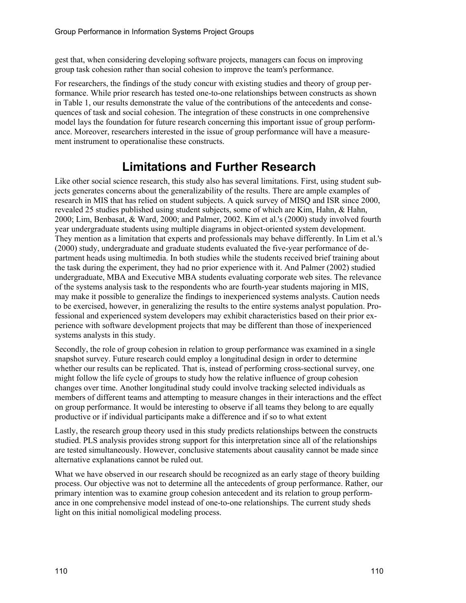gest that, when considering developing software projects, managers can focus on improving group task cohesion rather than social cohesion to improve the team's performance.

For researchers, the findings of the study concur with existing studies and theory of group performance. While prior research has tested one-to-one relationships between constructs as shown in Table 1, our results demonstrate the value of the contributions of the antecedents and consequences of task and social cohesion. The integration of these constructs in one comprehensive model lays the foundation for future research concerning this important issue of group performance. Moreover, researchers interested in the issue of group performance will have a measurement instrument to operationalise these constructs.

## **Limitations and Further Research**

Like other social science research, this study also has several limitations. First, using student subjects generates concerns about the generalizability of the results. There are ample examples of research in MIS that has relied on student subjects. A quick survey of MISQ and ISR since 2000, revealed 25 studies published using student subjects, some of which are Kim, Hahn, & Hahn, 2000; Lim, Benbasat, & Ward, 2000; and Palmer, 2002. Kim et al.'s (2000) study involved fourth year undergraduate students using multiple diagrams in object-oriented system development. They mention as a limitation that experts and professionals may behave differently. In Lim et al.'s (2000) study, undergraduate and graduate students evaluated the five-year performance of department heads using multimedia. In both studies while the students received brief training about the task during the experiment, they had no prior experience with it. And Palmer (2002) studied undergraduate, MBA and Executive MBA students evaluating corporate web sites. The relevance of the systems analysis task to the respondents who are fourth-year students majoring in MIS, may make it possible to generalize the findings to inexperienced systems analysts. Caution needs to be exercised, however, in generalizing the results to the entire systems analyst population. Professional and experienced system developers may exhibit characteristics based on their prior experience with software development projects that may be different than those of inexperienced systems analysts in this study.

Secondly, the role of group cohesion in relation to group performance was examined in a single snapshot survey. Future research could employ a longitudinal design in order to determine whether our results can be replicated. That is, instead of performing cross-sectional survey, one might follow the life cycle of groups to study how the relative influence of group cohesion changes over time. Another longitudinal study could involve tracking selected individuals as members of different teams and attempting to measure changes in their interactions and the effect on group performance. It would be interesting to observe if all teams they belong to are equally productive or if individual participants make a difference and if so to what extent

Lastly, the research group theory used in this study predicts relationships between the constructs studied. PLS analysis provides strong support for this interpretation since all of the relationships are tested simultaneously. However, conclusive statements about causality cannot be made since alternative explanations cannot be ruled out.

What we have observed in our research should be recognized as an early stage of theory building process. Our objective was not to determine all the antecedents of group performance. Rather, our primary intention was to examine group cohesion antecedent and its relation to group performance in one comprehensive model instead of one-to-one relationships. The current study sheds light on this initial nomoligical modeling process.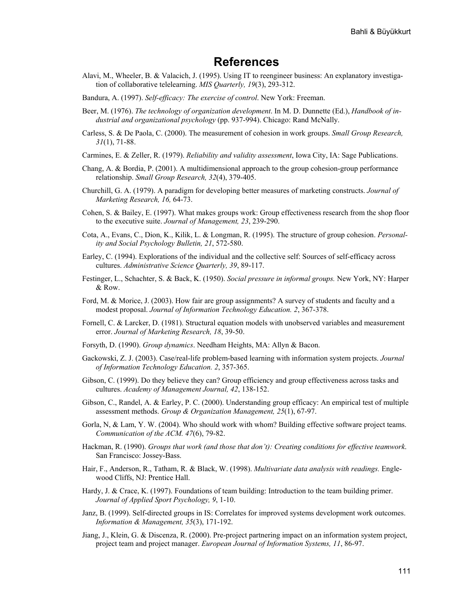### **References**

- Alavi, M., Wheeler, B. & Valacich, J. (1995). Using IT to reengineer business: An explanatory investigation of collaborative telelearning. *MIS Quarterly, 19*(3), 293-312.
- Bandura, A. (1997). *Self-efficacy: The exercise of control*. New York: Freeman.
- Beer, M. (1976). *The technology of organization development*. In M. D. Dunnette (Ed.), *Handbook of industrial and organizational psychology* (pp. 937-994). Chicago: Rand McNally.
- Carless, S. & De Paola, C. (2000). The measurement of cohesion in work groups. *Small Group Research, 31*(1), 71-88.
- Carmines, E. & Zeller, R. (1979). *Reliability and validity assessment*, Iowa City, IA: Sage Publications.
- Chang, A. & Bordia, P. (2001). A multidimensional approach to the group cohesion-group performance relationship. *Small Group Research, 32*(4), 379-405.
- Churchill, G. A. (1979). A paradigm for developing better measures of marketing constructs. *Journal of Marketing Research, 16,* 64-73.
- Cohen, S. & Bailey, E. (1997). What makes groups work: Group effectiveness research from the shop floor to the executive suite. *Journal of Management, 23*, 239-290.
- Cota, A., Evans, C., Dion, K., Kilik, L. & Longman, R. (1995). The structure of group cohesion. *Personality and Social Psychology Bulletin, 21*, 572-580.
- Earley, C. (1994). Explorations of the individual and the collective self: Sources of self-efficacy across cultures. *Administrative Science Quarterly, 39*, 89-117.
- Festinger, L., Schachter, S. & Back, K. (1950). *Social pressure in informal groups.* New York, NY: Harper & Row.
- Ford, M. & Morice, J. (2003). How fair are group assignments? A survey of students and faculty and a modest proposal. *Journal of Information Technology Education. 2*, 367-378.
- Fornell, C. & Larcker, D. (1981). Structural equation models with unobserved variables and measurement error. *Journal of Marketing Research, 18*, 39-50.
- Forsyth, D. (1990). *Group dynamics*. Needham Heights, MA: Allyn & Bacon.
- Gackowski, Z. J. (2003). Case/real-life problem-based learning with information system projects. *Journal of Information Technology Education. 2*, 357-365.
- Gibson, C. (1999). Do they believe they can? Group efficiency and group effectiveness across tasks and cultures. *Academy of Management Journal, 42*, 138-152.
- Gibson, C., Randel, A. & Earley, P. C. (2000). Understanding group efficacy: An empirical test of multiple assessment methods. *Group & Organization Management, 25*(1), 67-97.
- Gorla, N, & Lam, Y. W. (2004). Who should work with whom? Building effective software project teams. *Communication of the ACM. 47*(6), 79-82.
- Hackman, R. (1990). *Groups that work (and those that don't): Creating conditions for effective teamwork*. San Francisco: Jossey-Bass.
- Hair, F., Anderson, R., Tatham, R. & Black, W. (1998). *Multivariate data analysis with readings.* Englewood Cliffs, NJ: Prentice Hall.
- Hardy, J. & Crace, K. (1997). Foundations of team building: Introduction to the team building primer. *Journal of Applied Sport Psychology, 9*, 1-10.
- Janz, B. (1999). Self-directed groups in IS: Correlates for improved systems development work outcomes. *Information & Management, 35*(3), 171-192.
- Jiang, J., Klein, G. & Discenza, R. (2000). Pre-project partnering impact on an information system project, project team and project manager. *European Journal of Information Systems, 11*, 86-97.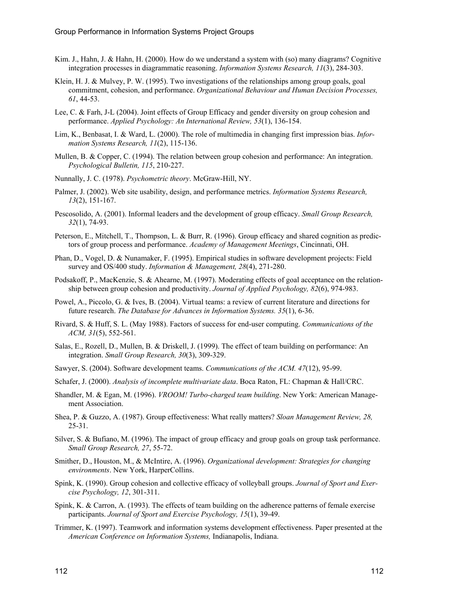- Kim. J., Hahn, J. & Hahn, H. (2000). How do we understand a system with (so) many diagrams? Cognitive integration processes in diagrammatic reasoning. *Information Systems Research, 11*(3), 284-303.
- Klein, H. J. & Mulvey, P. W. (1995). Two investigations of the relationships among group goals, goal commitment, cohesion, and performance. *Organizational Behaviour and Human Decision Processes, 61*, 44-53.
- Lee, C. & Farh, J-L (2004). Joint effects of Group Efficacy and gender diversity on group cohesion and performance. *Applied Psychology: An International Review, 53*(1), 136-154.
- Lim, K., Benbasat, I. & Ward, L. (2000). The role of multimedia in changing first impression bias. *Information Systems Research, 11*(2), 115-136.
- Mullen, B. & Copper, C. (1994). The relation between group cohesion and performance: An integration. *Psychological Bulletin, 115*, 210-227.
- Nunnally, J. C. (1978). *Psychometric theory*. McGraw-Hill, NY.
- Palmer, J. (2002). Web site usability, design, and performance metrics. *Information Systems Research, 13*(2), 151-167.
- Pescosolido, A. (2001). Informal leaders and the development of group efficacy. *Small Group Research, 32*(1), 74-93.
- Peterson, E., Mitchell, T., Thompson, L. & Burr, R. (1996). Group efficacy and shared cognition as predictors of group process and performance. *Academy of Management Meetings*, Cincinnati, OH.
- Phan, D., Vogel, D. & Nunamaker, F. (1995). Empirical studies in software development projects: Field survey and OS/400 study. *Information & Management, 28*(4), 271-280.
- Podsakoff, P., MacKenzie, S. & Ahearne, M. (1997). Moderating effects of goal acceptance on the relationship between group cohesion and productivity. *Journal of Applied Psychology, 82*(6), 974-983.
- Powel, A., Piccolo, G. & Ives, B. (2004). Virtual teams: a review of current literature and directions for future research. *The Database for Advances in Information Systems. 35*(1), 6-36.
- Rivard, S. & Huff, S. L. (May 1988). Factors of success for end-user computing. *Communications of the ACM, 31*(5), 552-561.
- Salas, E., Rozell, D., Mullen, B. & Driskell, J. (1999). The effect of team building on performance: An integration. *Small Group Research, 30*(3), 309-329.
- Sawyer, S. (2004). Software development teams. *Communications of the ACM. 47*(12), 95-99.
- Schafer, J. (2000). *Analysis of incomplete multivariate data*. Boca Raton, FL: Chapman & Hall/CRC.
- Shandler, M. & Egan, M. (1996). *VROOM! Turbo-charged team building*. New York: American Management Association.
- Shea, P. & Guzzo, A. (1987). Group effectiveness: What really matters? *Sloan Management Review, 28,* 25-31.
- Silver, S. & Bufiano, M. (1996). The impact of group efficacy and group goals on group task performance. *Small Group Research, 27*, 55-72.
- Smither, D., Houston, M., & McIntire, A. (1996). *Organizational development: Strategies for changing environments*. New York, HarperCollins.
- Spink, K. (1990). Group cohesion and collective efficacy of volleyball groups. *Journal of Sport and Exercise Psychology, 12*, 301-311.
- Spink, K. & Carron, A. (1993). The effects of team building on the adherence patterns of female exercise participants. *Journal of Sport and Exercise Psychology, 15*(1), 39-49.
- Trimmer, K. (1997). Teamwork and information systems development effectiveness. Paper presented at the *American Conference on Information Systems,* Indianapolis, Indiana.